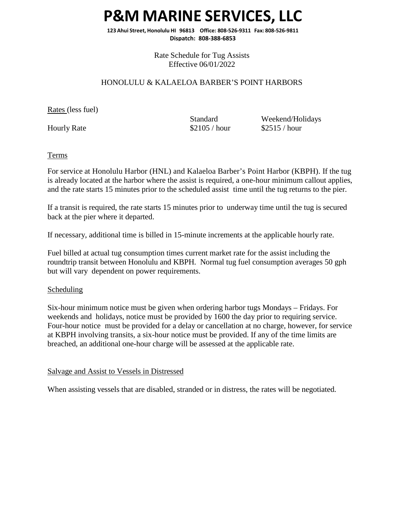### **P&M MARINE SERVICES, LLC**

**123 Ahui Street, Honolulu HI 96813 Office: 808-526-9311 Fax: 808-526-9811 Dispatch: 808-388-6853**

> Rate Schedule for Tug Assists Effective 06/01/2022

#### HONOLULU & KALAELOA BARBER'S POINT HARBORS

Rates (less fuel)

Standard Weekend/Holidays Hourly Rate \$2105 / hour \$2515 / hour

Terms

For service at Honolulu Harbor (HNL) and Kalaeloa Barber's Point Harbor (KBPH). If the tug is already located at the harbor where the assist is required, a one-hour minimum callout applies, and the rate starts 15 minutes prior to the scheduled assist time until the tug returns to the pier.

If a transit is required, the rate starts 15 minutes prior to underway time until the tug is secured back at the pier where it departed.

If necessary, additional time is billed in 15-minute increments at the applicable hourly rate.

Fuel billed at actual tug consumption times current market rate for the assist including the roundtrip transit between Honolulu and KBPH. Normal tug fuel consumption averages 50 gph but will vary dependent on power requirements.

#### **Scheduling**

Six-hour minimum notice must be given when ordering harbor tugs Mondays – Fridays. For weekends and holidays, notice must be provided by 1600 the day prior to requiring service. Four-hour notice must be provided for a delay or cancellation at no charge, however, for service at KBPH involving transits, a six-hour notice must be provided. If any of the time limits are breached, an additional one-hour charge will be assessed at the applicable rate.

#### Salvage and Assist to Vessels in Distressed

When assisting vessels that are disabled, stranded or in distress, the rates will be negotiated.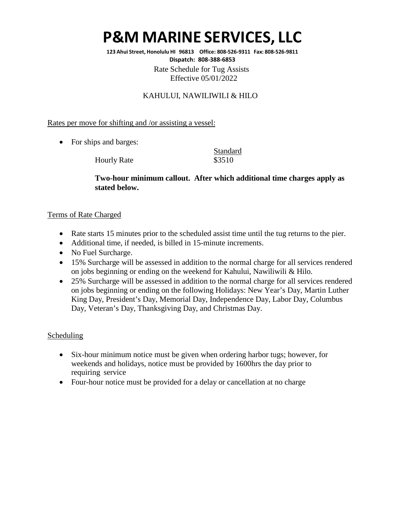# **P&M MARINE SERVICES, LLC**

**123 Ahui Street, Honolulu HI 96813 Office: 808-526-9311 Fax: 808-526-9811 Dispatch: 808-388-6853** Rate Schedule for Tug Assists

Effective 05/01/2022

### KAHULUI, NAWILIWILI & HILO

Rates per move for shifting and /or assisting a vessel:

• For ships and barges:

Hourly Rate \$3510

Standard

### **Two-hour minimum callout. After which additional time charges apply as stated below.**

#### Terms of Rate Charged

- Rate starts 15 minutes prior to the scheduled assist time until the tug returns to the pier.
- Additional time, if needed, is billed in 15-minute increments.
- No Fuel Surcharge.
- 15% Surcharge will be assessed in addition to the normal charge for all services rendered on jobs beginning or ending on the weekend for Kahului, Nawiliwili & Hilo.
- 25% Surcharge will be assessed in addition to the normal charge for all services rendered on jobs beginning or ending on the following Holidays: New Year's Day, Martin Luther King Day, President's Day, Memorial Day, Independence Day, Labor Day, Columbus Day, Veteran's Day, Thanksgiving Day, and Christmas Day.

### Scheduling

- Six-hour minimum notice must be given when ordering harbor tugs; however, for weekends and holidays, notice must be provided by 1600hrs the day prior to requiring service
- Four-hour notice must be provided for a delay or cancellation at no charge